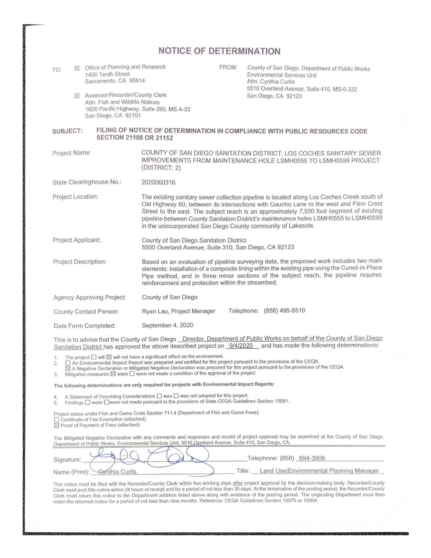|                                                                                               | NOTICE OF DETERMINATION                                                                                                                                                                                                                                                                                                                                                                                                                   |  |  |  |  |  |
|-----------------------------------------------------------------------------------------------|-------------------------------------------------------------------------------------------------------------------------------------------------------------------------------------------------------------------------------------------------------------------------------------------------------------------------------------------------------------------------------------------------------------------------------------------|--|--|--|--|--|
| Office of Planning and Research<br>冈<br>TO:<br>1400 Tenth Street<br>Sacramento, CA 95814      | FROM:<br>County of San Diego, Department of Public Works<br>Environmental Services Unit<br>Attn: Cynthia Curtis                                                                                                                                                                                                                                                                                                                           |  |  |  |  |  |
| Assessor/Recorder/County Clerk<br>⊠<br>Attn: Fish and Wildlife Notices<br>San Diego, CA 92101 | 5510 Overland Avenue, Suite 410, MS-0-332<br>San Diego, CA 92123<br>1600 Pacific Highway, Suite 260, MS A-33                                                                                                                                                                                                                                                                                                                              |  |  |  |  |  |
| SUBJECT:                                                                                      | FILING OF NOTICE OF DETERMINATION IN COMPLIANCE WITH PUBLIC RESOURCES CODE<br><b>SECTION 21108 OR 21152</b>                                                                                                                                                                                                                                                                                                                               |  |  |  |  |  |
| Project Name:                                                                                 | COUNTY OF SAN DIEGO SANITATION DISTRICT: LOS COCHES SANITARY SEWER<br>IMPROVEMENTS FROM MAINTENANCE HOLE LSMH0555 TO LSMH0599 PROJECT<br>(DISTRICT: 2)                                                                                                                                                                                                                                                                                    |  |  |  |  |  |
| State Clearinghouse No.:                                                                      | 2020060316                                                                                                                                                                                                                                                                                                                                                                                                                                |  |  |  |  |  |
| Project Location:                                                                             | The existing sanitary sewer collection pipeline is located along Los Coches Creek south of<br>Old Highway 80, between its intersections with Gaucho Lane to the west and Flinn Crest<br>Street to the east. The subject reach is an approximately 7,500 foot segment of existing<br>pipeline between County Sanitation District's maintenance holes LSMH0555 to LSMH0599<br>in the unincorporated San Diego County community of Lakeside. |  |  |  |  |  |
| Project Applicant:                                                                            | County of San Diego Sanitation District<br>5500 Overland Avenue, Suite 310, San Diego, CA 92123                                                                                                                                                                                                                                                                                                                                           |  |  |  |  |  |
| <b>Project Description:</b>                                                                   | Based on an evaluation of pipeline surveying data, the proposed work includes two main<br>elements: installation of a composite lining within the existing pipe using the Cured-in-Place<br>Pipe method, and in three minor sections of the subject reach, the pipeline requires<br>reinforcement and protection within the streambed.                                                                                                    |  |  |  |  |  |
| <b>Agency Approving Project:</b>                                                              | County of San Diego                                                                                                                                                                                                                                                                                                                                                                                                                       |  |  |  |  |  |
| County Contact Person:                                                                        | Telephone: (858) 495-5510<br>Ryan Lau, Project Manager                                                                                                                                                                                                                                                                                                                                                                                    |  |  |  |  |  |
| Date Form Completed:                                                                          | September 4, 2020                                                                                                                                                                                                                                                                                                                                                                                                                         |  |  |  |  |  |
|                                                                                               | This is to advise that the County of San Diego Director, Department of Public Works on behalf of the County of San Diego                                                                                                                                                                                                                                                                                                                  |  |  |  |  |  |

Sanitation District has approved the above described project on 9/4/2020 and has made the following determinations:

1. The project  $\Box$  will  $\boxtimes$  will not have a significant effect on the environment.

2. ∏ An Environmental Impact Report was prepared and certified for this project pursuant to the provisions of the CEQA.<br>⊠ A Negative Declaration or Mitigated Negative Declaration was prepared for this project pursua

3. Mitigation measures  $\boxtimes$  were  $\Box$  were not made a condition of the approval of the project.

The following determinations are only required for projects with Environmental Impact Reports:

4. A Statement of Overriding Considerations  $\Box$  was  $\Box$  was not adopted for this project.

5. Findings  $\square$  were  $\square$  were not made pursuant to the provisions of State CEQA Guidelines Section 15091.

Project status under Fish and Game Code Section 711.4 (Department of Fish and Game Fees): 0 Certificate of Fee Exemption (attached) <sup>181</sup>Proof of Payment of Fees (attached)

Tho Mitigated Negative Declaration with any comments and responses and record of project approval may be examined al tho County of San Diego, Department of Public Works, Environmental Services Unit, 5510 Overland Avenue, Suite 410, San Diego, CA.

| Signature                    | Telephone: (858) 694-3906                         |
|------------------------------|---------------------------------------------------|
| Name (Print): Gynthia Curits | Land Use/Environmental Planning Manager<br>Title: |

This notice must be filed with the Recorder/County Clerk within five working days <u>after</u> project approval by the decision-making body. Recorder/County<br>Clerk must post this notice within 24 hours of receipt and for a perio Clerk must return this notice to the Department address listed above along with evidence of the posting period. The originating Department must then retain the returned notice for a period of not less than nine months. Reference: CEQA Guidelines Section 15075 or 15094